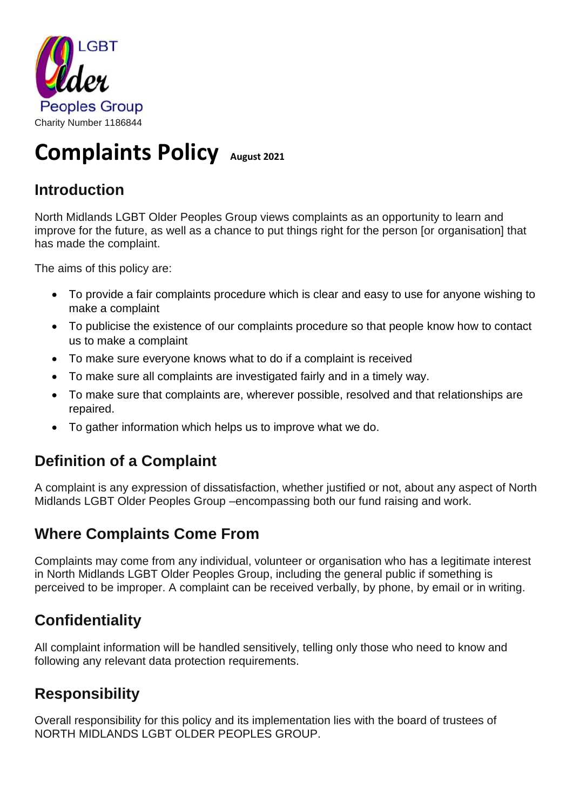

# **Complaints Policy August 2021**

#### **Introduction**

North Midlands LGBT Older Peoples Group views complaints as an opportunity to learn and improve for the future, as well as a chance to put things right for the person [or organisation] that has made the complaint.

The aims of this policy are:

- To provide a fair complaints procedure which is clear and easy to use for anyone wishing to make a complaint
- To publicise the existence of our complaints procedure so that people know how to contact us to make a complaint
- To make sure everyone knows what to do if a complaint is received
- To make sure all complaints are investigated fairly and in a timely way.
- To make sure that complaints are, wherever possible, resolved and that relationships are repaired.
- To gather information which helps us to improve what we do.

#### **Definition of a Complaint**

A complaint is any expression of dissatisfaction, whether justified or not, about any aspect of North Midlands LGBT Older Peoples Group –encompassing both our fund raising and work.

#### **Where Complaints Come From**

Complaints may come from any individual, volunteer or organisation who has a legitimate interest in North Midlands LGBT Older Peoples Group, including the general public if something is perceived to be improper. A complaint can be received verbally, by phone, by email or in writing.

### **Confidentiality**

All complaint information will be handled sensitively, telling only those who need to know and following any relevant data protection requirements.

#### **Responsibility**

Overall responsibility for this policy and its implementation lies with the board of trustees of NORTH MIDLANDS LGBT OLDER PEOPLES GROUP.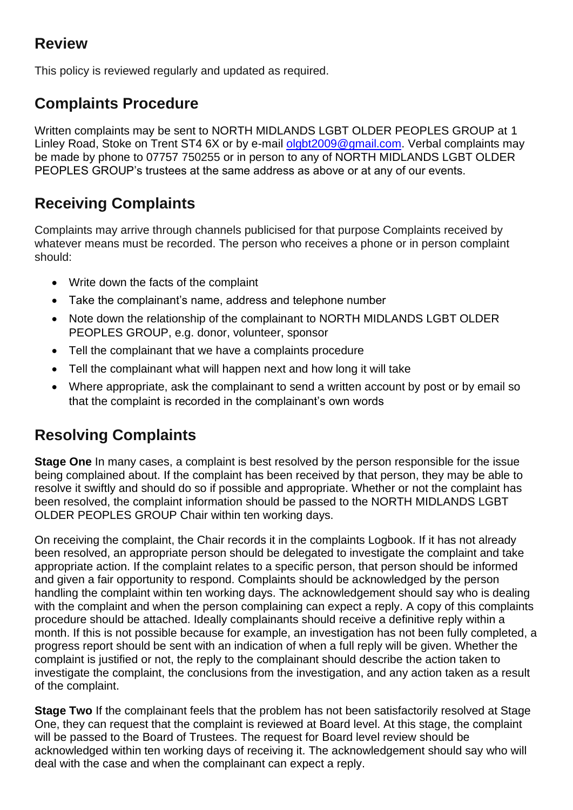#### **Review**

This policy is reviewed regularly and updated as required.

#### **Complaints Procedure**

Written complaints may be sent to NORTH MIDLANDS LGBT OLDER PEOPLES GROUP at 1 Linley Road, Stoke on Trent ST4 6X or by e-mail [olgbt2009@gmail.com.](mailto:olgbt2009@gmail.com) Verbal complaints may be made by phone to 07757 750255 or in person to any of NORTH MIDLANDS LGBT OLDER PEOPLES GROUP's trustees at the same address as above or at any of our events.

# **Receiving Complaints**

Complaints may arrive through channels publicised for that purpose Complaints received by whatever means must be recorded. The person who receives a phone or in person complaint should:

- Write down the facts of the complaint
- Take the complainant's name, address and telephone number
- Note down the relationship of the complainant to NORTH MIDLANDS LGBT OLDER PEOPLES GROUP, e.g. donor, volunteer, sponsor
- Tell the complainant that we have a complaints procedure
- Tell the complainant what will happen next and how long it will take
- Where appropriate, ask the complainant to send a written account by post or by email so that the complaint is recorded in the complainant's own words

### **Resolving Complaints**

**Stage One** In many cases, a complaint is best resolved by the person responsible for the issue being complained about. If the complaint has been received by that person, they may be able to resolve it swiftly and should do so if possible and appropriate. Whether or not the complaint has been resolved, the complaint information should be passed to the NORTH MIDLANDS LGBT OLDER PEOPLES GROUP Chair within ten working days.

On receiving the complaint, the Chair records it in the complaints Logbook. If it has not already been resolved, an appropriate person should be delegated to investigate the complaint and take appropriate action. If the complaint relates to a specific person, that person should be informed and given a fair opportunity to respond. Complaints should be acknowledged by the person handling the complaint within ten working days. The acknowledgement should say who is dealing with the complaint and when the person complaining can expect a reply. A copy of this complaints procedure should be attached. Ideally complainants should receive a definitive reply within a month. If this is not possible because for example, an investigation has not been fully completed, a progress report should be sent with an indication of when a full reply will be given. Whether the complaint is justified or not, the reply to the complainant should describe the action taken to investigate the complaint, the conclusions from the investigation, and any action taken as a result of the complaint.

**Stage Two** If the complainant feels that the problem has not been satisfactorily resolved at Stage One, they can request that the complaint is reviewed at Board level. At this stage, the complaint will be passed to the Board of Trustees. The request for Board level review should be acknowledged within ten working days of receiving it. The acknowledgement should say who will deal with the case and when the complainant can expect a reply.